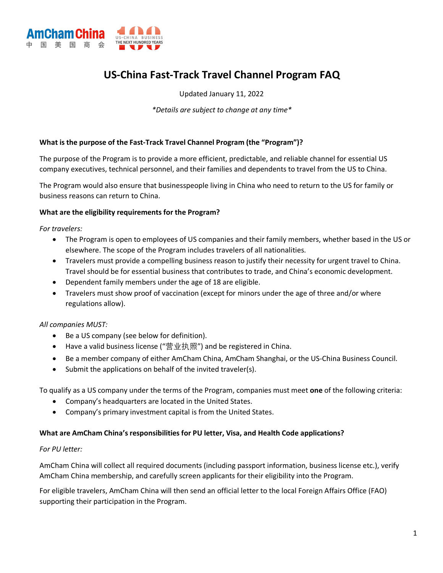

# **US-China Fast-Track Travel Channel Program FAQ**

Updated January 11, 2022

*\*Details are subject to change at any time\**

#### **What is the purpose of the Fast-Track Travel Channel Program (the "Program")?**

The purpose of the Program is to provide a more efficient, predictable, and reliable channel for essential US company executives, technical personnel, and their families and dependents to travel from the US to China.

The Program would also ensure that businesspeople living in China who need to return to the US for family or business reasons can return to China.

#### **What are the eligibility requirements for the Program?**

*For travelers:*

- The Program is open to employees of US companies and their family members, whether based in the US or elsewhere. The scope of the Program includes travelers of all nationalities.
- Travelers must provide a compelling business reason to justify their necessity for urgent travel to China. Travel should be for essential business that contributes to trade, and China's economic development.
- Dependent family members under the age of 18 are eligible.
- Travelers must show proof of vaccination (except for minors under the age of three and/or where regulations allow).

## *All companies MUST:*

- Be a US company (see below for definition).
- Have a valid business license ("营业执照") and be registered in China.
- Be a member company of either AmCham China, AmCham Shanghai, or the US-China Business Council.
- Submit the applications on behalf of the invited traveler(s).

To qualify as a US company under the terms of the Program, companies must meet **one** of the following criteria:

- Company's headquarters are located in the United States.
- Company's primary investment capital is from the United States.

#### **What are AmCham China's responsibilities for PU letter, Visa, and Health Code applications?**

## *For PU letter:*

AmCham China will collect all required documents (including passport information, business license etc.), verify AmCham China membership, and carefully screen applicants for their eligibility into the Program.

For eligible travelers, AmCham China will then send an official letter to the local Foreign Affairs Office (FAO) supporting their participation in the Program.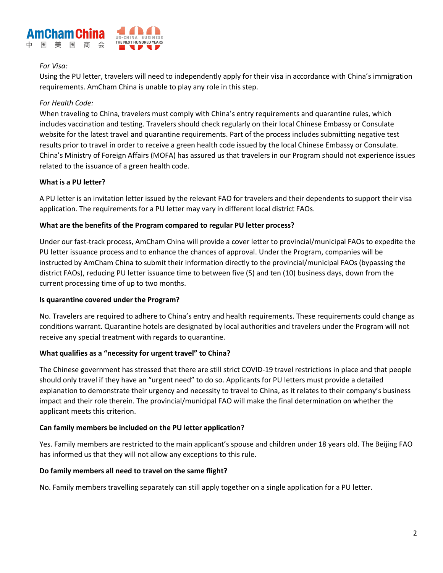

## *For Visa:*

Using the PU letter, travelers will need to independently apply for their visa in accordance with China's immigration requirements. AmCham China is unable to play any role in this step.

# *For Health Code:*

When traveling to China, travelers must comply with China's entry requirements and quarantine rules, which includes vaccination and testing. Travelers should check regularly on their local Chinese Embassy or Consulate website for the latest travel and quarantine requirements. Part of the process includes submitting negative test results prior to travel in order to receive a green health code issued by the local Chinese Embassy or Consulate. China's Ministry of Foreign Affairs (MOFA) has assured us that travelers in our Program should not experience issues related to the issuance of a green health code.

# **What is a PU letter?**

A PU letter is an invitation letter issued by the relevant FAO for travelers and their dependents to support their visa application. The requirements for a PU letter may vary in different local district FAOs.

# **What are the benefits of the Program compared to regular PU letter process?**

Under our fast-track process, AmCham China will provide a cover letter to provincial/municipal FAOs to expedite the PU letter issuance process and to enhance the chances of approval. Under the Program, companies will be instructed by AmCham China to submit their information directly to the provincial/municipal FAOs (bypassing the district FAOs), reducing PU letter issuance time to between five (5) and ten (10) business days, down from the current processing time of up to two months.

## **Is quarantine covered under the Program?**

No. Travelers are required to adhere to China's entry and health requirements. These requirements could change as conditions warrant. Quarantine hotels are designated by local authorities and travelers under the Program will not receive any special treatment with regards to quarantine.

## **What qualifies as a "necessity for urgent travel" to China?**

The Chinese government has stressed that there are still strict COVID-19 travel restrictions in place and that people should only travel if they have an "urgent need" to do so. Applicants for PU letters must provide a detailed explanation to demonstrate their urgency and necessity to travel to China, as it relates to their company's business impact and their role therein. The provincial/municipal FAO will make the final determination on whether the applicant meets this criterion.

## **Can family members be included on the PU letter application?**

Yes. Family members are restricted to the main applicant's spouse and children under 18 years old. The Beijing FAO has informed us that they will not allow any exceptions to this rule.

## **Do family members all need to travel on the same flight?**

No. Family members travelling separately can still apply together on a single application for a PU letter.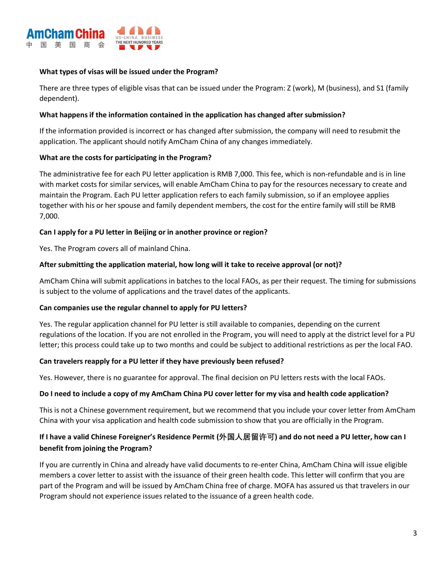

## **What types of visas will be issued under the Program?**

There are three types of eligible visas that can be issued under the Program: Z (work), M (business), and S1 (family dependent).

#### **What happens if the information contained in the application has changed after submission?**

If the information provided is incorrect or has changed after submission, the company will need to resubmit the application. The applicant should notify AmCham China of any changes immediately.

## **What are the costs for participating in the Program?**

The administrative fee for each PU letter application is RMB 7,000. This fee, which is non-refundable and is in line with market costs for similar services, will enable AmCham China to pay for the resources necessary to create and maintain the Program. Each PU letter application refers to each family submission, so if an employee applies together with his or her spouse and family dependent members, the cost for the entire family will still be RMB 7,000.

## **Can I apply for a PU letter in Beijing or in another province or region?**

Yes. The Program covers all of mainland China.

## **After submitting the application material, how long will it take to receive approval (or not)?**

AmCham China will submit applications in batches to the local FAOs, as per their request. The timing for submissions is subject to the volume of applications and the travel dates of the applicants.

## **Can companies use the regular channel to apply for PU letters?**

Yes. The regular application channel for PU letter is still available to companies, depending on the current regulations of the location. If you are not enrolled in the Program, you will need to apply at the district level for a PU letter; this process could take up to two months and could be subject to additional restrictions as per the local FAO.

#### **Can travelers reapply for a PU letter if they have previously been refused?**

Yes. However, there is no guarantee for approval. The final decision on PU letters rests with the local FAOs.

#### **Do I need to include a copy of my AmCham China PU cover letter for my visa and health code application?**

This is not a Chinese government requirement, but we recommend that you include your cover letter from AmCham China with your visa application and health code submission to show that you are officially in the Program.

# **If I have a valid Chinese Foreigner's Residence Permit (外国人居留许可) and do not need a PU letter, how can I benefit from joining the Program?**

If you are currently in China and already have valid documents to re-enter China, AmCham China will issue eligible members a cover letter to assist with the issuance of their green health code. This letter will confirm that you are part of the Program and will be issued by AmCham China free of charge. MOFA has assured us that travelers in our Program should not experience issues related to the issuance of a green health code.